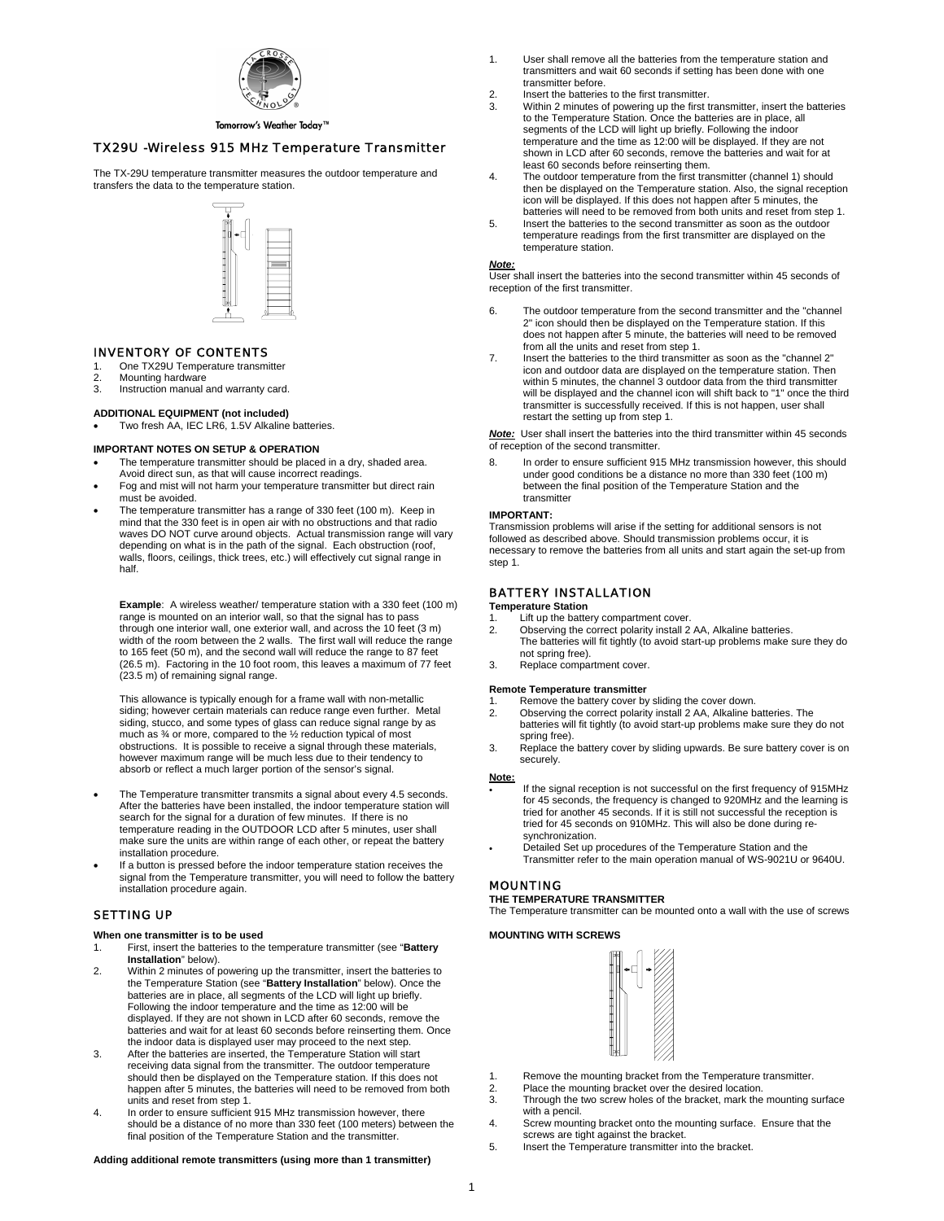

### Tomorrow's Weather Today™

# *TX29U -Wireless 915 MHz Temperature Transmitter*

The TX-29U temperature transmitter measures the outdoor temperature and transfers the data to the temperature station.



#### *INVENTORY OF CONTENTS*

- 1. One TX29U Temperature transmitter<br>2. Mounting hardware
- 2. Mounting hardware<br>3. Instruction manual Instruction manual and warranty card.

# **ADDITIONAL EQUIPMENT (not included)**

Two fresh AA, IEC LR6, 1.5V Alkaline batteries.

#### **IMPORTANT NOTES ON SETUP & OPERATION**

- The temperature transmitter should be placed in a dry, shaded area. Avoid direct sun, as that will cause incorrect readings.
- Fog and mist will not harm your temperature transmitter but direct rain must be avoided.
- The temperature transmitter has a range of 330 feet (100 m). Keep in mind that the 330 feet is in open air with no obstructions and that radio waves DO NOT curve around objects. Actual transmission range will vary depending on what is in the path of the signal. Each obstruction (roof, walls, floors, ceilings, thick trees, etc.) will effectively cut signal range in half.

**Example:** A wireless weather/ temperature station with a 330 feet (100 m) range is mounted on an interior wall, so that the signal has to pass through one interior wall, one exterior wall, and across the 10 feet (3 m) width of the room between the 2 walls. The first wall will reduce the range to 165 feet (50 m), and the second wall will reduce the range to 87 feet (26.5 m). Factoring in the 10 foot room, this leaves a maximum of 77 feet (23.5 m) of remaining signal range.

This allowance is typically enough for a frame wall with non-metallic siding; however certain materials can reduce range even further. Metal siding, stucco, and some types of glass can reduce signal range by as much as ¾ or more, compared to the ½ reduction typical of most obstructions. It is possible to receive a signal through these materials, however maximum range will be much less due to their tendency to absorb or reflect a much larger portion of the sensor's signal.

- The Temperature transmitter transmits a signal about every 4.5 seconds. After the batteries have been installed, the indoor temperature station will search for the signal for a duration of few minutes. If there is no temperature reading in the OUTDOOR LCD after 5 minutes, user shall make sure the units are within range of each other, or repeat the battery installation procedure.
- If a button is pressed before the indoor temperature station receives the signal from the Temperature transmitter, you will need to follow the battery installation procedure again.

### *SETTING UP*

### **When one transmitter is to be used**

- 1. First, insert the batteries to the temperature transmitter (see "**Battery Installation**" below).
- 2. Within 2 minutes of powering up the transmitter, insert the batteries to the Temperature Station (see "**Battery Installation**" below). Once the batteries are in place, all segments of the LCD will light up briefly. Following the indoor temperature and the time as 12:00 will be displayed. If they are not shown in LCD after 60 seconds, remove the batteries and wait for at least 60 seconds before reinserting them. Once the indoor data is displayed user may proceed to the next step.
- 3. After the batteries are inserted, the Temperature Station will start receiving data signal from the transmitter. The outdoor temperature should then be displayed on the Temperature station. If this does not happen after 5 minutes, the batteries will need to be removed from both units and reset from step 1. 4. In order to ensure sufficient 915 MHz transmission however, there
- should be a distance of no more than 330 feet (100 meters) between the final position of the Temperature Station and the transmitter.

### **Adding additional remote transmitters (using more than 1 transmitter)**

- 1. User shall remove all the batteries from the temperature station and transmitters and wait 60 seconds if setting has been done with one transmitter before.
- 2. Insert the batteries to the first transmitter.<br>3. Within 2 minutes of powering up the first t
- Within 2 minutes of powering up the first transmitter, insert the batteries to the Temperature Station. Once the batteries are in place, all segments of the LCD will light up briefly. Following the indoor temperature and the time as 12:00 will be displayed. If they are not shown in LCD after 60 seconds, remove the batteries and wait for at least 60 seconds before reinserting them.
- 4. The outdoor temperature from the first transmitter (channel 1) should then be displayed on the Temperature station. Also, the signal reception icon will be displayed. If this does not happen after 5 minutes, the batteries will need to be removed from both units and reset from step 1.
- 5. Insert the batteries to the second transmitter as soon as the outdoor temperature readings from the first transmitter are displayed on the temperature station.

### *Note:*

User shall insert the batteries into the second transmitter within 45 seconds of reception of the first transmitter.

- 6. The outdoor temperature from the second transmitter and the "channel 2" icon should then be displayed on the Temperature station. If this does not happen after 5 minute, the batteries will need to be removed from all the units and reset from step 1.
- 7. Insert the batteries to the third transmitter as soon as the "channel 2" icon and outdoor data are displayed on the temperature station. Then within 5 minutes, the channel 3 outdoor data from the third transmitter will be displayed and the channel icon will shift back to "1" once the third transmitter is successfully received. If this is not happen, user shall restart the setting up from step 1.

*Note:* User shall insert the batteries into the third transmitter within 45 seconds of reception of the second transmitter.

8. In order to ensure sufficient 915 MHz transmission however, this should under good conditions be a distance no more than 330 feet (100 m) between the final position of the Temperature Station and the transmitter

#### **IMPORTANT:**

Transmission problems will arise if the setting for additional sensors is not followed as described above. Should transmission problems occur, it is necessary to remove the batteries from all units and start again the set-up from step 1.

### *BATTERY INSTALLATION*

**Temperature Station** 

- Lift up the battery compartment cover.
- 2. Observing the correct polarity install 2 AA, Alkaline batteries. The batteries will fit tightly (to avoid start-up problems make sure they do not spring free).
- 3. Replace compartment cover.

#### **Remote Temperature transmitter**

- 1. Remove the battery cover by sliding the cover down.<br>2. Observing the correct polarity install 2 AA, Alkaline b
- 2. Observing the correct polarity install 2 AA, Alkaline batteries. The batteries will fit tightly (to avoid start-up problems make sure they do not spring free).
- 3. Replace the battery cover by sliding upwards. Be sure battery cover is on securely.

**Note:**

- If the signal reception is not successful on the first frequency of 915MHz for 45 seconds, the frequency is changed to 920MHz and the learning is tried for another 45 seconds. If it is still not successful the reception is tried for 45 seconds on 910MHz. This will also be done during resynchronization.
- Detailed Set up procedures of the Temperature Station and the Transmitter refer to the main operation manual of WS-9021U or 9640U.

#### *MOUNTING*

**THE TEMPERATURE TRANSMITTER** 

The Temperature transmitter can be mounted onto a wall with the use of screws

#### **MOUNTING WITH SCREWS**



- 1. Remove the mounting bracket from the Temperature transmitter.
- 2. Place the mounting bracket over the desired location<br>3. Through the two screw holes of the bracket, mark the
- Through the two screw holes of the bracket, mark the mounting surface with a pencil.
- 4. Screw mounting bracket onto the mounting surface. Ensure that the screws are tight against the bracket.
- 5. Insert the Temperature transmitter into the bracket.